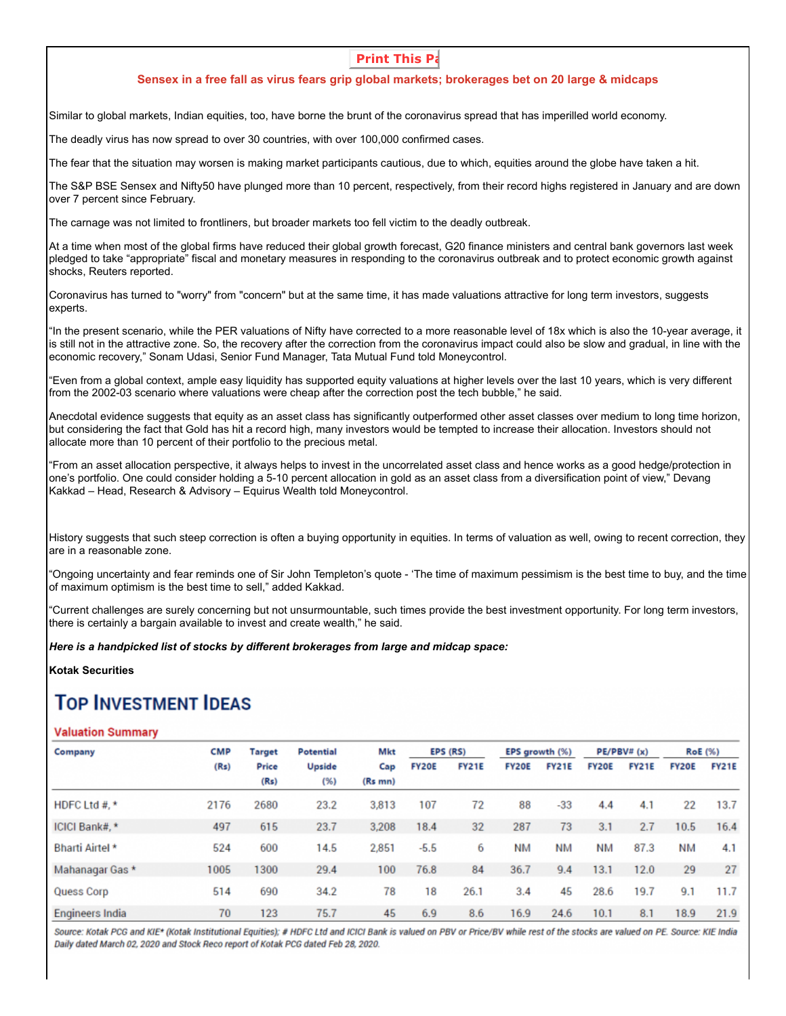## **Print This Pa**

### **Sensex in a free fall as virus fears grip global markets; brokerages bet on 20 large & midcaps**

Similar to global markets, Indian equities, too, have borne the brunt of the coronavirus spread that has imperilled world economy.

The deadly virus has now spread to over 30 countries, with over 100,000 confirmed cases.

The fear that the situation may worsen is making market participants cautious, due to which, equities around the globe have taken a hit.

The S&P BSE Sensex and Nifty50 have plunged more than 10 percent, respectively, from their record highs registered in January and are down over 7 percent since February.

The carnage was not limited to frontliners, but broader markets too fell victim to the deadly outbreak.

At a time when most of the global firms have reduced their global growth forecast, G20 finance ministers and central bank governors last week pledged to take "appropriate" fiscal and monetary measures in responding to the coronavirus outbreak and to protect economic growth against shocks, Reuters reported.

Coronavirus has turned to "worry" from "concern" but at the same time, it has made valuations attractive for long term investors, suggests experts.

"In the present scenario, while the PER valuations of Nifty have corrected to a more reasonable level of 18x which is also the 10-year average, it is still not in the attractive zone. So, the recovery after the correction from the coronavirus impact could also be slow and gradual, in line with the economic recovery," Sonam Udasi, Senior Fund Manager, Tata Mutual Fund told Moneycontrol.

"Even from a global context, ample easy liquidity has supported equity valuations at higher levels over the last 10 years, which is very different from the 2002-03 scenario where valuations were cheap after the correction post the tech bubble," he said.

Anecdotal evidence suggests that equity as an asset class has significantly outperformed other asset classes over medium to long time horizon, but considering the fact that Gold has hit a record high, many investors would be tempted to increase their allocation. Investors should not allocate more than 10 percent of their portfolio to the precious metal.

"From an asset allocation perspective, it always helps to invest in the uncorrelated asset class and hence works as a good hedge/protection in one's portfolio. One could consider holding a 5-10 percent allocation in gold as an asset class from a diversification point of view," Devang Kakkad – Head, Research & Advisory – Equirus Wealth told Moneycontrol.

History suggests that such steep correction is often a buying opportunity in equities. In terms of valuation as well, owing to recent correction, they are in a reasonable zone.

"Ongoing uncertainty and fear reminds one of Sir John Templeton's quote - 'The time of maximum pessimism is the best time to buy, and the time of maximum optimism is the best time to sell," added Kakkad.

"Current challenges are surely concerning but not unsurmountable, such times provide the best investment opportunity. For long term investors, there is certainly a bargain available to invest and create wealth," he said.

*Here is a handpicked list of stocks by different brokerages from large and midcap space:*

**Kotak Securities**

# **TOP INVESTMENT IDEAS**

#### **Valuation Summary**

| Company                | <b>CMP</b> | Target               | <b>Potential</b> | Mkt                 | EPS (RS)     |              | EPS growth (%) |              | PE/PBV# (x)  |              | <b>RoE</b> (%) |              |
|------------------------|------------|----------------------|------------------|---------------------|--------------|--------------|----------------|--------------|--------------|--------------|----------------|--------------|
|                        | (Rs)       | <b>Price</b><br>(Rs) | Upside<br>(%)    | Cap<br>$(Rs$ mn $)$ | <b>FY20E</b> | <b>FY21E</b> | <b>FY20E</b>   | <b>FY21E</b> | <b>FY20E</b> | <b>FY21E</b> | <b>FY20E</b>   | <b>FY21E</b> |
| HDFC Ltd #. $*$        | 2176       | 2680                 | 23.2             | 3,813               | 107          | 72           | 88             | $-33$        | 4.4          | 4.1          | 22             | 13.7         |
| ICICI Bank#, *         | 497        | 615                  | 23.7             | 3.208               | 18.4         | 32           | 287            | 73           | 3.1          | 2.7          | 10.5           | 16.4         |
| <b>Bharti Airtel *</b> | 524        | 600                  | 14.5             | 2,851               | $-5.5$       | 6            | <b>NM</b>      | <b>NM</b>    | <b>NM</b>    | 87.3         | ΝM             | 4.1          |
| Mahanagar Gas *        | 1005       | 1300                 | 29.4             | 100                 | 76.8         | 84           | 36.7           | 9.4          | 13.1         | 12.0         | 29             | 27           |
| Quess Corp             | 514        | 690                  | 34.2             | 78                  | 18           | 26.1         | 3.4            | 45           | 28.6         | 19.7         | 9.1            | 11.7         |
| Engineers India        | 70         | 123                  | 75.7             | 45                  | 6.9          | 8.6          | 16.9           | 24.6         | 10.1         | 8.1          | 18.9           | 21.9         |

Source: Kotak PCG and KIE\* (Kotak Institutional Equities); # HDFC Ltd and ICICI Bank is valued on PBV or Price/BV while rest of the stocks are valued on PE. Source: KIE India Daily dated March 02, 2020 and Stock Reco report of Kotak PCG dated Feb 28, 2020.